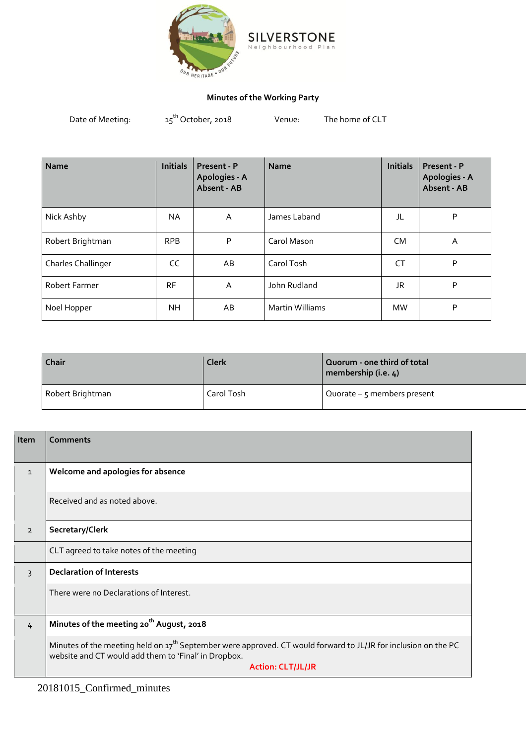

## **Minutes of the Working Party**

 $a<sub>n</sub>$ 

Date of Meeting:  $15^{th}$  October, 2018 Venue: The home of CLT

| <b>Name</b>               | <b>Initials</b> | Present - P<br>Apologies - A<br>Absent - AB | <b>Name</b>            | <b>Initials</b> | Present - P<br>Apologies - A<br>Absent - AB |
|---------------------------|-----------------|---------------------------------------------|------------------------|-----------------|---------------------------------------------|
| Nick Ashby                | NA              | A                                           | James Laband           | JL              | P                                           |
| Robert Brightman          | <b>RPB</b>      | P                                           | Carol Mason            | <b>CM</b>       | Α                                           |
| <b>Charles Challinger</b> | CC              | AB                                          | Carol Tosh             | CT              | P                                           |
| Robert Farmer             | <b>RF</b>       | A                                           | John Rudland           | JR              | P                                           |
| Noel Hopper               | NΗ              | AB                                          | <b>Martin Williams</b> | <b>MW</b>       | P                                           |

| Chair            | <b>Clerk</b> | Quorum - one third of total<br>membership (i.e. 4) |
|------------------|--------------|----------------------------------------------------|
| Robert Brightman | Carol Tosh   | Quorate $-$ 5 members present                      |

| Item           | Comments                                                                                                                                                                                                       |
|----------------|----------------------------------------------------------------------------------------------------------------------------------------------------------------------------------------------------------------|
| $\mathbf{1}$   | Welcome and apologies for absence                                                                                                                                                                              |
|                | Received and as noted above.                                                                                                                                                                                   |
| $\overline{2}$ | Secretary/Clerk                                                                                                                                                                                                |
|                | CLT agreed to take notes of the meeting                                                                                                                                                                        |
| $\overline{3}$ | <b>Declaration of Interests</b>                                                                                                                                                                                |
|                | There were no Declarations of Interest.                                                                                                                                                                        |
| $\frac{1}{4}$  | Minutes of the meeting 20 <sup>th</sup> August, 2018                                                                                                                                                           |
|                | Minutes of the meeting held on 17 <sup>th</sup> September were approved. CT would forward to JL/JR for inclusion on the PC<br>website and CT would add them to 'Final' in Dropbox.<br><b>Action: CLT/JL/JR</b> |

20181015\_Confirmed\_minutes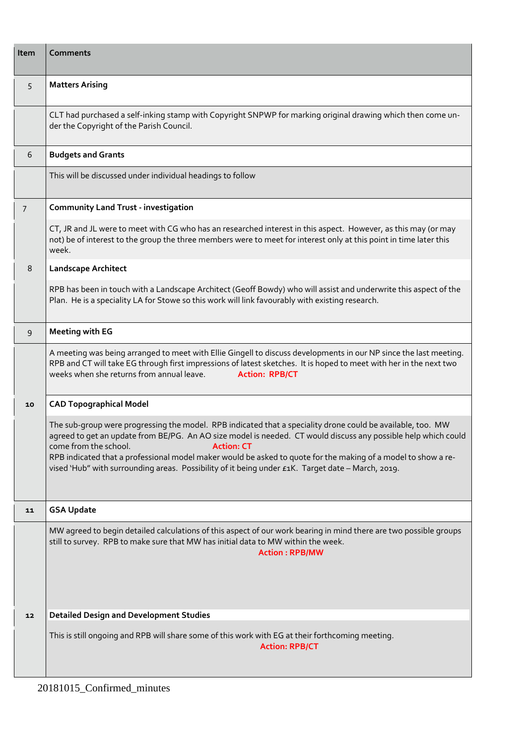| Item           | <b>Comments</b>                                                                                                                                                                                                                                                                                                                                                                                                                                                                                   |
|----------------|---------------------------------------------------------------------------------------------------------------------------------------------------------------------------------------------------------------------------------------------------------------------------------------------------------------------------------------------------------------------------------------------------------------------------------------------------------------------------------------------------|
| 5              | <b>Matters Arising</b>                                                                                                                                                                                                                                                                                                                                                                                                                                                                            |
|                | CLT had purchased a self-inking stamp with Copyright SNPWP for marking original drawing which then come un-<br>der the Copyright of the Parish Council.                                                                                                                                                                                                                                                                                                                                           |
| 6              | <b>Budgets and Grants</b>                                                                                                                                                                                                                                                                                                                                                                                                                                                                         |
|                | This will be discussed under individual headings to follow                                                                                                                                                                                                                                                                                                                                                                                                                                        |
| $\overline{7}$ | <b>Community Land Trust - investigation</b>                                                                                                                                                                                                                                                                                                                                                                                                                                                       |
|                | CT, JR and JL were to meet with CG who has an researched interest in this aspect. However, as this may (or may<br>not) be of interest to the group the three members were to meet for interest only at this point in time later this<br>week.                                                                                                                                                                                                                                                     |
| 8              | <b>Landscape Architect</b>                                                                                                                                                                                                                                                                                                                                                                                                                                                                        |
|                | RPB has been in touch with a Landscape Architect (Geoff Bowdy) who will assist and underwrite this aspect of the<br>Plan. He is a speciality LA for Stowe so this work will link favourably with existing research.                                                                                                                                                                                                                                                                               |
| 9              | <b>Meeting with EG</b>                                                                                                                                                                                                                                                                                                                                                                                                                                                                            |
|                | A meeting was being arranged to meet with Ellie Gingell to discuss developments in our NP since the last meeting.<br>RPB and CT will take EG through first impressions of latest sketches. It is hoped to meet with her in the next two<br>weeks when she returns from annual leave.<br><b>Action: RPB/CT</b>                                                                                                                                                                                     |
| 10             | <b>CAD Topographical Model</b>                                                                                                                                                                                                                                                                                                                                                                                                                                                                    |
|                | The sub-group were progressing the model. RPB indicated that a speciality drone could be available, too. MW<br>agreed to get an update from BE/PG. An AO size model is needed. CT would discuss any possible help which could<br>come from the school.<br><b>Action: CT</b><br>RPB indicated that a professional model maker would be asked to quote for the making of a model to show a re-<br>vised 'Hub" with surrounding areas. Possibility of it being under £1K. Target date - March, 2019. |
| 11             | <b>GSA Update</b>                                                                                                                                                                                                                                                                                                                                                                                                                                                                                 |
|                | MW agreed to begin detailed calculations of this aspect of our work bearing in mind there are two possible groups<br>still to survey. RPB to make sure that MW has initial data to MW within the week.<br><b>Action: RPB/MW</b>                                                                                                                                                                                                                                                                   |
| 12             | <b>Detailed Design and Development Studies</b>                                                                                                                                                                                                                                                                                                                                                                                                                                                    |
|                | This is still ongoing and RPB will share some of this work with EG at their forthcoming meeting.<br><b>Action: RPB/CT</b>                                                                                                                                                                                                                                                                                                                                                                         |